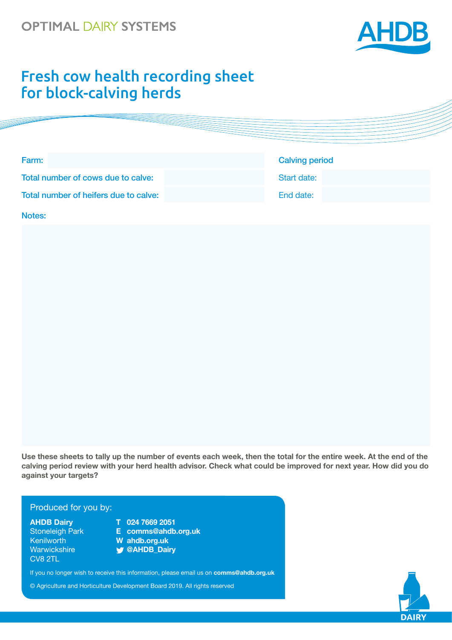## **OPTIMAL DAIRY SYSTEMS**



## Fresh cow health recording sheet for block-calving herds

| <b>Calving period</b> |
|-----------------------|
| Start date:           |
| End date:             |
|                       |

Notes:

**Use these sheets to tally up the number of events each week, then the total for the entire week. At the end of the calving period review with your herd health advisor. Check what could be improved for next year. How did you do against your targets?**

## Produced for you by: Produced for you by:

Warwickshire **@AHDB\_Dairy** Warwickshire **@AHDB\_Dairy** CV8 2TL CV8 2TL

- **AHDB Dairy T 024 7669 2051 AHDB Dairy T 024 7669 2051**
- Stoneleigh Park **E dairy.comms@ahdb.org.uk** Stoneleigh Park **E comms@ahdb.org.uk** Kenilworth **W ahdb.org.uk** Kenilworth **W ahdb.org.uk**
	-

If you no longer wish to receive this information, please email If you no longer wish to receive this information, please email us on **comms@ahdb.org.uk** 

© Agriculture and Horticulture Development Board 2019. All rights reserved

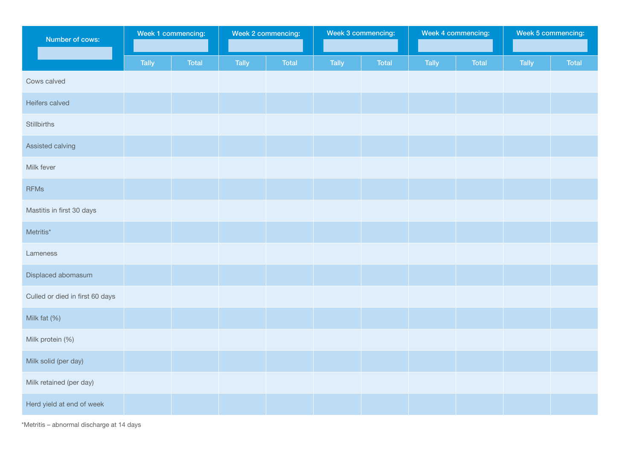| Number of cows:                 | Week 1 commencing: |              | Week 2 commencing: |       | Week 3 commencing: |              | Week 4 commencing: |              | Week 5 commencing: |              |
|---------------------------------|--------------------|--------------|--------------------|-------|--------------------|--------------|--------------------|--------------|--------------------|--------------|
|                                 | <b>Tally</b>       | <b>Total</b> | Tally              | Total | <b>Tally</b>       | <b>Total</b> | Tally              | <b>Total</b> | <b>Tally</b>       | <b>Total</b> |
| Cows calved                     |                    |              |                    |       |                    |              |                    |              |                    |              |
| Heifers calved                  |                    |              |                    |       |                    |              |                    |              |                    |              |
| Stillbirths                     |                    |              |                    |       |                    |              |                    |              |                    |              |
| Assisted calving                |                    |              |                    |       |                    |              |                    |              |                    |              |
| Milk fever                      |                    |              |                    |       |                    |              |                    |              |                    |              |
| <b>RFMs</b>                     |                    |              |                    |       |                    |              |                    |              |                    |              |
| Mastitis in first 30 days       |                    |              |                    |       |                    |              |                    |              |                    |              |
| Metritis*                       |                    |              |                    |       |                    |              |                    |              |                    |              |
| Lameness                        |                    |              |                    |       |                    |              |                    |              |                    |              |
| Displaced abomasum              |                    |              |                    |       |                    |              |                    |              |                    |              |
| Culled or died in first 60 days |                    |              |                    |       |                    |              |                    |              |                    |              |
| Milk fat (%)                    |                    |              |                    |       |                    |              |                    |              |                    |              |
| Milk protein (%)                |                    |              |                    |       |                    |              |                    |              |                    |              |
| Milk solid (per day)            |                    |              |                    |       |                    |              |                    |              |                    |              |
| Milk retained (per day)         |                    |              |                    |       |                    |              |                    |              |                    |              |
| Herd yield at end of week       |                    |              |                    |       |                    |              |                    |              |                    |              |

\*Metritis – abnormal discharge at 14 days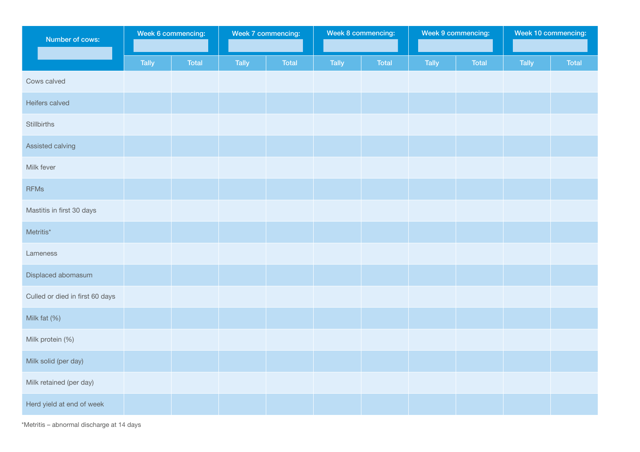| Number of cows:                 | Week 6 commencing: |              | Week 7 commencing: |       | Week 8 commencing: |              | Week 9 commencing: |       | Week 10 commencing: |       |
|---------------------------------|--------------------|--------------|--------------------|-------|--------------------|--------------|--------------------|-------|---------------------|-------|
|                                 | <b>Tally</b>       | <b>Total</b> | Tally              | Total | <b>Tally</b>       | <b>Total</b> | Tally              | Total | <b>Tally</b>        | Total |
| Cows calved                     |                    |              |                    |       |                    |              |                    |       |                     |       |
| Heifers calved                  |                    |              |                    |       |                    |              |                    |       |                     |       |
| Stillbirths                     |                    |              |                    |       |                    |              |                    |       |                     |       |
| Assisted calving                |                    |              |                    |       |                    |              |                    |       |                     |       |
| Milk fever                      |                    |              |                    |       |                    |              |                    |       |                     |       |
| <b>RFMs</b>                     |                    |              |                    |       |                    |              |                    |       |                     |       |
| Mastitis in first 30 days       |                    |              |                    |       |                    |              |                    |       |                     |       |
| Metritis*                       |                    |              |                    |       |                    |              |                    |       |                     |       |
| Lameness                        |                    |              |                    |       |                    |              |                    |       |                     |       |
| Displaced abomasum              |                    |              |                    |       |                    |              |                    |       |                     |       |
| Culled or died in first 60 days |                    |              |                    |       |                    |              |                    |       |                     |       |
| Milk fat (%)                    |                    |              |                    |       |                    |              |                    |       |                     |       |
| Milk protein (%)                |                    |              |                    |       |                    |              |                    |       |                     |       |
| Milk solid (per day)            |                    |              |                    |       |                    |              |                    |       |                     |       |
| Milk retained (per day)         |                    |              |                    |       |                    |              |                    |       |                     |       |
| Herd yield at end of week       |                    |              |                    |       |                    |              |                    |       |                     |       |

\*Metritis – abnormal discharge at 14 days